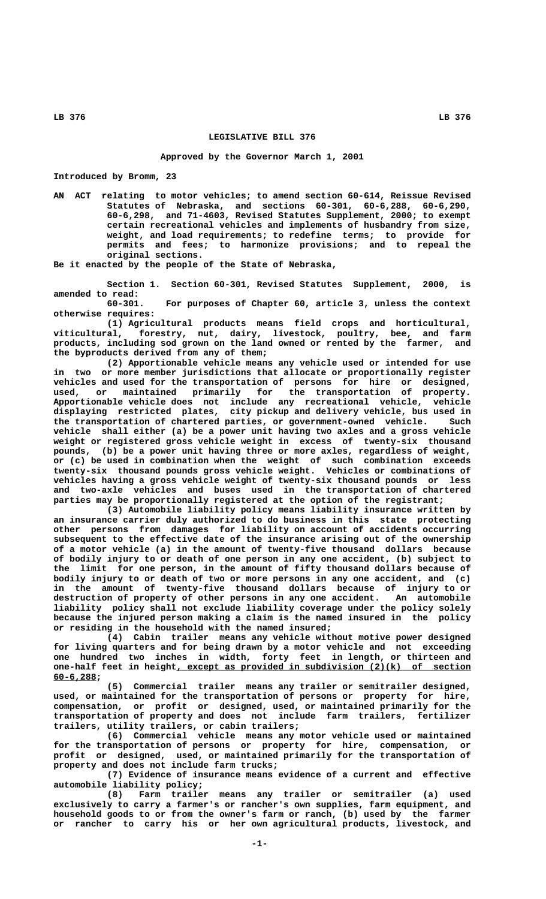## **LEGISLATIVE BILL 376**

### **Approved by the Governor March 1, 2001**

**Introduced by Bromm, 23**

**AN ACT relating to motor vehicles; to amend section 60-614, Reissue Revised Statutes of Nebraska, and sections 60-301, 60-6,288, 60-6,290, 60-6,298, and 71-4603, Revised Statutes Supplement, 2000; to exempt certain recreational vehicles and implements of husbandry from size, weight, and load requirements; to redefine terms; to provide for permits and fees; to harmonize provisions; and to repeal the original sections.**

**Be it enacted by the people of the State of Nebraska,**

**Section 1. Section 60-301, Revised Statutes Supplement, 2000, is amended to read:**

**60-301. For purposes of Chapter 60, article 3, unless the context otherwise requires:**

**(1) Agricultural products means field crops and horticultural, viticultural, forestry, nut, dairy, livestock, poultry, bee, and farm products, including sod grown on the land owned or rented by the farmer, and the byproducts derived from any of them;**

**(2) Apportionable vehicle means any vehicle used or intended for use in two or more member jurisdictions that allocate or proportionally register vehicles and used for the transportation of persons for hire or designed, used, or maintained primarily for the transportation of property. Apportionable vehicle does not include any recreational vehicle, vehicle displaying restricted plates, city pickup and delivery vehicle, bus used in the transportation of chartered parties, or government-owned vehicle. Such vehicle shall either (a) be a power unit having two axles and a gross vehicle weight or registered gross vehicle weight in excess of twenty-six thousand pounds, (b) be a power unit having three or more axles, regardless of weight, or (c) be used in combination when the weight of such combination exceeds twenty-six thousand pounds gross vehicle weight. Vehicles or combinations of vehicles having a gross vehicle weight of twenty-six thousand pounds or less and two-axle vehicles and buses used in the transportation of chartered parties may be proportionally registered at the option of the registrant;**

**(3) Automobile liability policy means liability insurance written by an insurance carrier duly authorized to do business in this state protecting other persons from damages for liability on account of accidents occurring subsequent to the effective date of the insurance arising out of the ownership of a motor vehicle (a) in the amount of twenty-five thousand dollars because of bodily injury to or death of one person in any one accident, (b) subject to the limit for one person, in the amount of fifty thousand dollars because of bodily injury to or death of two or more persons in any one accident, and (c) in the amount of twenty-five thousand dollars because of injury to or destruction of property of other persons in any one accident. An automobile liability policy shall not exclude liability coverage under the policy solely because the injured person making a claim is the named insured in the policy or residing in the household with the named insured;**

**(4) Cabin trailer means any vehicle without motive power designed for living quarters and for being drawn by a motor vehicle and not exceeding one hundred two inches in width, forty feet in length, or thirteen and \_\_\_\_\_\_\_\_\_\_\_\_\_\_\_\_\_\_\_\_\_\_\_\_\_\_\_\_\_\_\_\_\_\_\_\_\_\_\_\_\_\_\_\_\_\_\_\_\_\_\_\_\_\_\_ one-half feet in height, except as provided in subdivision (2)(k) of section 60-6,288; \_\_\_\_\_\_\_\_**

**(5) Commercial trailer means any trailer or semitrailer designed, used, or maintained for the transportation of persons or property for hire, compensation, or profit or designed, used, or maintained primarily for the transportation of property and does not include farm trailers, fertilizer trailers, utility trailers, or cabin trailers;**

**(6) Commercial vehicle means any motor vehicle used or maintained for the transportation of persons or property for hire, compensation, or profit or designed, used, or maintained primarily for the transportation of property and does not include farm trucks;**

**(7) Evidence of insurance means evidence of a current and effective automobile liability policy;**

**(8) Farm trailer means any trailer or semitrailer (a) used exclusively to carry a farmer's or rancher's own supplies, farm equipment, and household goods to or from the owner's farm or ranch, (b) used by the farmer or rancher to carry his or her own agricultural products, livestock, and**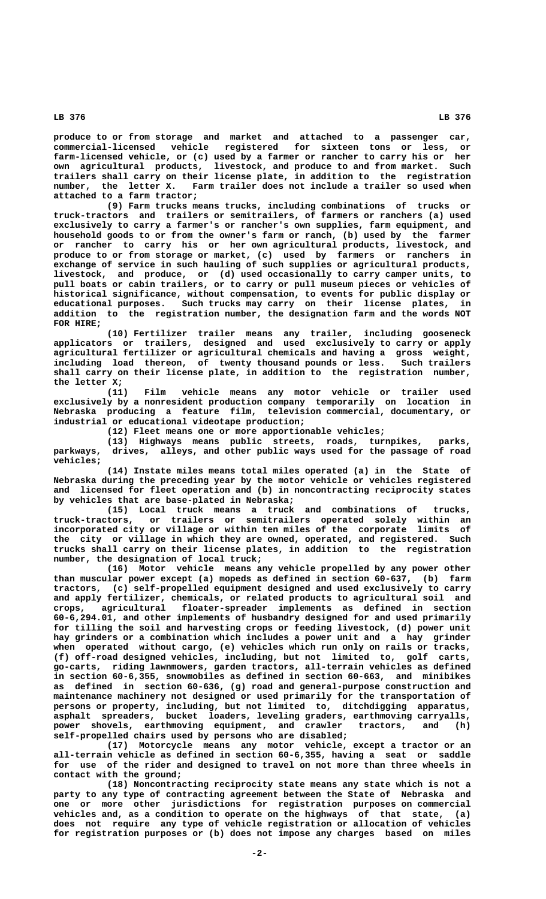**produce to or from storage and market and attached to a passenger car, commercial-licensed vehicle registered for sixteen tons or less, or farm-licensed vehicle, or (c) used by a farmer or rancher to carry his or her own agricultural products, livestock, and produce to and from market. Such trailers shall carry on their license plate, in addition to the registration number, the letter X. Farm trailer does not include a trailer so used when attached to a farm tractor;**

**(9) Farm trucks means trucks, including combinations of trucks or truck-tractors and trailers or semitrailers, of farmers or ranchers (a) used exclusively to carry a farmer's or rancher's own supplies, farm equipment, and household goods to or from the owner's farm or ranch, (b) used by the farmer or rancher to carry his or her own agricultural products, livestock, and produce to or from storage or market, (c) used by farmers or ranchers in exchange of service in such hauling of such supplies or agricultural products, livestock, and produce, or (d) used occasionally to carry camper units, to pull boats or cabin trailers, or to carry or pull museum pieces or vehicles of historical significance, without compensation, to events for public display or educational purposes. Such trucks may carry on their license plates, in addition to the registration number, the designation farm and the words NOT FOR HIRE;**

**(10) Fertilizer trailer means any trailer, including gooseneck applicators or trailers, designed and used exclusively to carry or apply agricultural fertilizer or agricultural chemicals and having a gross weight, including load thereon, of twenty thousand pounds or less. Such trailers shall carry on their license plate, in addition to the registration number, the letter X;**

**(11) Film vehicle means any motor vehicle or trailer used exclusively by a nonresident production company temporarily on location in Nebraska producing a feature film, television commercial, documentary, or industrial or educational videotape production;**

**(12) Fleet means one or more apportionable vehicles;**

**(13) Highways means public streets, roads, turnpikes, parks, parkways, drives, alleys, and other public ways used for the passage of road vehicles;**

**(14) Instate miles means total miles operated (a) in the State of Nebraska during the preceding year by the motor vehicle or vehicles registered and licensed for fleet operation and (b) in noncontracting reciprocity states by vehicles that are base-plated in Nebraska;**

**(15) Local truck means a truck and combinations of trucks, truck-tractors, or trailers or semitrailers operated solely within an incorporated city or village or within ten miles of the corporate limits of the city or village in which they are owned, operated, and registered. Such trucks shall carry on their license plates, in addition to the registration number, the designation of local truck;**

**(16) Motor vehicle means any vehicle propelled by any power other than muscular power except (a) mopeds as defined in section 60-637, (b) farm tractors, (c) self-propelled equipment designed and used exclusively to carry and apply fertilizer, chemicals, or related products to agricultural soil and crops, agricultural floater-spreader implements as defined in section 60-6,294.01, and other implements of husbandry designed for and used primarily for tilling the soil and harvesting crops or feeding livestock, (d) power unit hay grinders or a combination which includes a power unit and a hay grinder when operated without cargo, (e) vehicles which run only on rails or tracks, (f) off-road designed vehicles, including, but not limited to, golf carts, go-carts, riding lawnmowers, garden tractors, all-terrain vehicles as defined in section 60-6,355, snowmobiles as defined in section 60-663, and minibikes as defined in section 60-636, (g) road and general-purpose construction and maintenance machinery not designed or used primarily for the transportation of persons or property, including, but not limited to, ditchdigging apparatus, asphalt spreaders, bucket loaders, leveling graders, earthmoving carryalls, power shovels, earthmoving equipment, and crawler tractors, and (h) self-propelled chairs used by persons who are disabled;**

**(17) Motorcycle means any motor vehicle, except a tractor or an all-terrain vehicle as defined in section 60-6,355, having a seat or saddle for use of the rider and designed to travel on not more than three wheels in contact with the ground;**

**(18) Noncontracting reciprocity state means any state which is not a party to any type of contracting agreement between the State of Nebraska and one or more other jurisdictions for registration purposes on commercial vehicles and, as a condition to operate on the highways of that state, (a) does not require any type of vehicle registration or allocation of vehicles for registration purposes or (b) does not impose any charges based on miles**

 **LB 376 LB 376**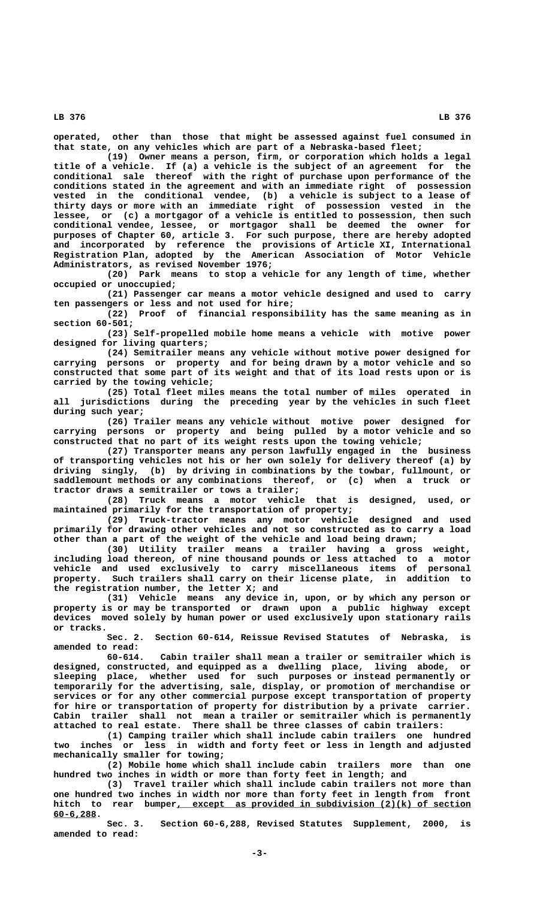**operated, other than those that might be assessed against fuel consumed in that state, on any vehicles which are part of a Nebraska-based fleet;**

**(19) Owner means a person, firm, or corporation which holds a legal title of a vehicle. If (a) a vehicle is the subject of an agreement for the conditional sale thereof with the right of purchase upon performance of the conditions stated in the agreement and with an immediate right of possession vested in the conditional vendee, (b) a vehicle is subject to a lease of thirty days or more with an immediate right of possession vested in the lessee, or (c) a mortgagor of a vehicle is entitled to possession, then such conditional vendee, lessee, or mortgagor shall be deemed the owner for purposes of Chapter 60, article 3. For such purpose, there are hereby adopted and incorporated by reference the provisions of Article XI, International Registration Plan, adopted by the American Association of Motor Vehicle Administrators, as revised November 1976;**

**(20) Park means to stop a vehicle for any length of time, whether occupied or unoccupied;**

**(21) Passenger car means a motor vehicle designed and used to carry ten passengers or less and not used for hire;**

**(22) Proof of financial responsibility has the same meaning as in section 60-501;**

**(23) Self-propelled mobile home means a vehicle with motive power designed for living quarters;**

**(24) Semitrailer means any vehicle without motive power designed for carrying persons or property and for being drawn by a motor vehicle and so constructed that some part of its weight and that of its load rests upon or is carried by the towing vehicle;**

**(25) Total fleet miles means the total number of miles operated in all jurisdictions during the preceding year by the vehicles in such fleet during such year;**

**(26) Trailer means any vehicle without motive power designed for carrying persons or property and being pulled by a motor vehicle and so constructed that no part of its weight rests upon the towing vehicle;**

**(27) Transporter means any person lawfully engaged in the business of transporting vehicles not his or her own solely for delivery thereof (a) by driving singly, (b) by driving in combinations by the towbar, fullmount, or saddlemount methods or any combinations thereof, or (c) when a truck or tractor draws a semitrailer or tows a trailer;**

**(28) Truck means a motor vehicle that is designed, used, or maintained primarily for the transportation of property;**

**(29) Truck-tractor means any motor vehicle designed and used primarily for drawing other vehicles and not so constructed as to carry a load other than a part of the weight of the vehicle and load being drawn;**

**(30) Utility trailer means a trailer having a gross weight, including load thereon, of nine thousand pounds or less attached to a motor vehicle and used exclusively to carry miscellaneous items of personal property. Such trailers shall carry on their license plate, in addition to the registration number, the letter X; and**

**(31) Vehicle means any device in, upon, or by which any person or property is or may be transported or drawn upon a public highway except devices moved solely by human power or used exclusively upon stationary rails or tracks.**

**Sec. 2. Section 60-614, Reissue Revised Statutes of Nebraska, is amended to read:**

Cabin trailer shall mean a trailer or semitrailer which is **designed, constructed, and equipped as a dwelling place, living abode, or sleeping place, whether used for such purposes or instead permanently or temporarily for the advertising, sale, display, or promotion of merchandise or services or for any other commercial purpose except transportation of property for hire or transportation of property for distribution by a private carrier. Cabin trailer shall not mean a trailer or semitrailer which is permanently attached to real estate. There shall be three classes of cabin trailers:**

**(1) Camping trailer which shall include cabin trailers one hundred two inches or less in width and forty feet or less in length and adjusted mechanically smaller for towing;**

**(2) Mobile home which shall include cabin trailers more than one hundred two inches in width or more than forty feet in length; and**

**(3) Travel trailer which shall include cabin trailers not more than one hundred two inches in width nor more than forty feet in length from front \_\_\_\_\_\_\_\_\_\_\_\_\_\_\_\_\_\_\_\_\_\_\_\_\_\_\_\_\_\_\_\_\_\_\_\_\_\_\_\_\_\_\_\_\_\_\_\_\_\_\_\_\_\_\_ hitch to rear bumper, except as provided in subdivision (2)(k) of section 60-6,288. \_\_\_\_\_\_\_\_**

**Sec. 3. Section 60-6,288, Revised Statutes Supplement, 2000, is amended to read:**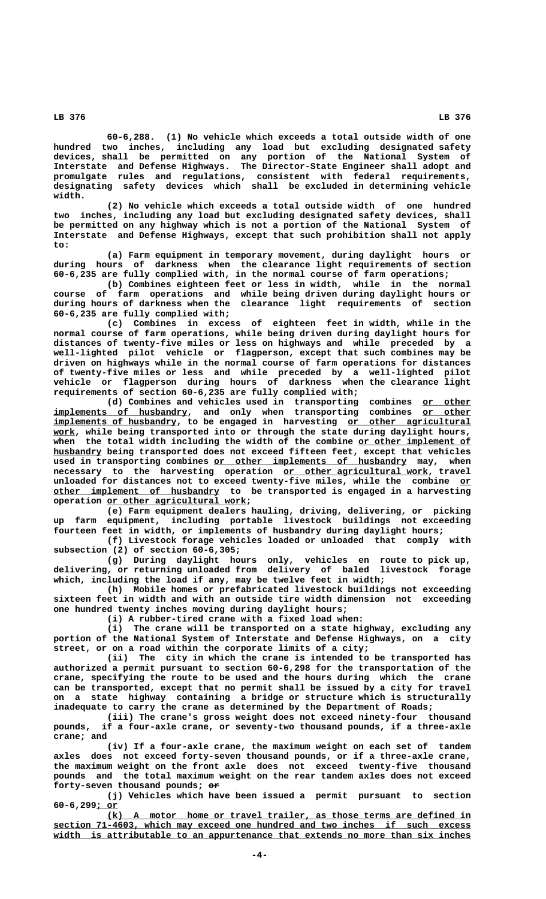**60-6,288. (1) No vehicle which exceeds a total outside width of one hundred two inches, including any load but excluding designated safety devices, shall be permitted on any portion of the National System of Interstate and Defense Highways. The Director-State Engineer shall adopt and promulgate rules and regulations, consistent with federal requirements, designating safety devices which shall be excluded in determining vehicle width.**

**(2) No vehicle which exceeds a total outside width of one hundred two inches, including any load but excluding designated safety devices, shall be permitted on any highway which is not a portion of the National System of Interstate and Defense Highways, except that such prohibition shall not apply to:**

**(a) Farm equipment in temporary movement, during daylight hours or during hours of darkness when the clearance light requirements of section 60-6,235 are fully complied with, in the normal course of farm operations;**

**(b) Combines eighteen feet or less in width, while in the normal course of farm operations and while being driven during daylight hours or during hours of darkness when the clearance light requirements of section 60-6,235 are fully complied with;**

**(c) Combines in excess of eighteen feet in width, while in the normal course of farm operations, while being driven during daylight hours for distances of twenty-five miles or less on highways and while preceded by a well-lighted pilot vehicle or flagperson, except that such combines may be driven on highways while in the normal course of farm operations for distances of twenty-five miles or less and while preceded by a well-lighted pilot vehicle or flagperson during hours of darkness when the clearance light requirements of section 60-6,235 are fully complied with;**

**(d) Combines and vehicles used in transporting combines or other \_\_\_\_\_\_\_\_\_**  $\frac{implements\;\;\; of\;\;\; husbandtry\;\;$  and  $only\;\; when\;\; transporting\;\; combines\;\;\; or\;\; other}$  $\underline{\text{implements of husbandry}}$ , to be engaged in harvesting <u>or other agricultural</u> work, while being transported into or through the state during daylight hours, when the total width including the width of the combine or other implement of husbandry being transported does not exceed fifteen feet, except that vehicles used in transporting combines or other implements of husbandry may, when  **\_\_\_\_\_\_\_\_\_\_\_\_\_\_\_\_\_\_\_\_\_\_\_\_\_\_\_ necessary to the harvesting operation or other agricultural work, travel** unloaded for distances not to exceed twenty-five miles, while the combine or  **\_\_\_\_\_\_\_\_\_\_\_\_\_\_\_\_\_\_\_\_\_\_\_\_\_\_\_\_\_\_\_ other implement of husbandry to be transported is engaged in a harvesting \_\_\_\_\_\_\_\_\_\_\_\_\_\_\_\_\_\_\_\_\_\_\_\_\_\_ operation or other agricultural work;**

> **(e) Farm equipment dealers hauling, driving, delivering, or picking up farm equipment, including portable livestock buildings not exceeding fourteen feet in width, or implements of husbandry during daylight hours;**

> **(f) Livestock forage vehicles loaded or unloaded that comply with subsection (2) of section 60-6,305;**

> **(g) During daylight hours only, vehicles en route to pick up, delivering, or returning unloaded from delivery of baled livestock forage which, including the load if any, may be twelve feet in width;**

> **(h) Mobile homes or prefabricated livestock buildings not exceeding sixteen feet in width and with an outside tire width dimension not exceeding one hundred twenty inches moving during daylight hours;**

**(i) A rubber-tired crane with a fixed load when:**

**(i) The crane will be transported on a state highway, excluding any portion of the National System of Interstate and Defense Highways, on a city street, or on a road within the corporate limits of a city;**

**(ii) The city in which the crane is intended to be transported has authorized a permit pursuant to section 60-6,298 for the transportation of the crane, specifying the route to be used and the hours during which the crane can be transported, except that no permit shall be issued by a city for travel on a state highway containing a bridge or structure which is structurally inadequate to carry the crane as determined by the Department of Roads;**

**(iii) The crane's gross weight does not exceed ninety-four thousand pounds, if a four-axle crane, or seventy-two thousand pounds, if a three-axle crane; and**

**(iv) If a four-axle crane, the maximum weight on each set of tandem axles does not exceed forty-seven thousand pounds, or if a three-axle crane, the maximum weight on the front axle does not exceed twenty-five thousand pounds and the total maximum weight on the rear tandem axles does not exceed** forty-seven thousand pounds; or

**(j) Vehicles which have been issued a permit pursuant to section 60-6,299; or \_\_\_\_**

 **\_\_\_\_\_\_\_\_\_\_\_\_\_\_\_\_\_\_\_\_\_\_\_\_\_\_\_\_\_\_\_\_\_\_\_\_\_\_\_\_\_\_\_\_\_\_\_\_\_\_\_\_\_\_\_\_\_\_\_\_\_\_\_\_\_\_\_\_ (k) A motor home or travel trailer, as those terms are defined in \_\_\_\_\_\_\_\_\_\_\_\_\_\_\_\_\_\_\_\_\_\_\_\_\_\_\_\_\_\_\_\_\_\_\_\_\_\_\_\_\_\_\_\_\_\_\_\_\_\_\_\_\_\_\_\_\_\_\_\_\_\_\_\_\_\_\_\_\_\_\_\_\_\_\_\_\_\_ section 71-4603, which may exceed one hundred and two inches if such excess** width is attributable to an appurtenance that extends no more than six inches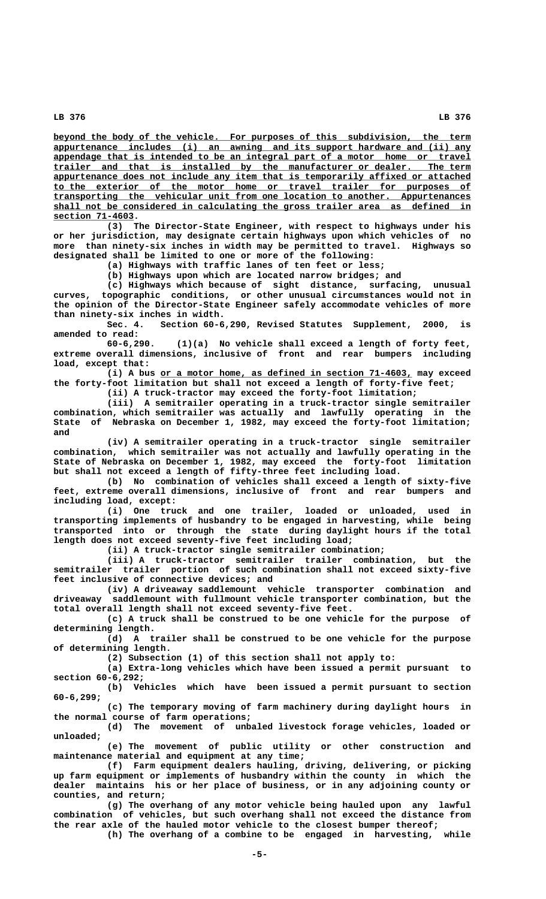beyond the body of the vehicle. For purposes of this subdivision, the term  **\_\_\_\_\_\_\_\_\_\_\_\_\_\_\_\_\_\_\_\_\_\_\_\_\_\_\_\_\_\_\_\_\_\_\_\_\_\_\_\_\_\_\_\_\_\_\_\_\_\_\_\_\_\_\_\_\_\_\_\_\_\_\_\_\_\_\_\_\_\_\_\_\_\_\_\_\_\_ appurtenance includes (i) an awning and its support hardware and (ii) any \_\_\_\_\_\_\_\_\_\_\_\_\_\_\_\_\_\_\_\_\_\_\_\_\_\_\_\_\_\_\_\_\_\_\_\_\_\_\_\_\_\_\_\_\_\_\_\_\_\_\_\_\_\_\_\_\_\_\_\_\_\_\_\_\_\_\_\_\_\_\_\_\_\_\_\_\_\_ appendage that is intended to be an integral part of a motor home or travel \_\_\_\_\_\_\_\_\_\_\_\_\_\_\_\_\_\_\_\_\_\_\_\_\_\_\_\_\_\_\_\_\_\_\_\_\_\_\_\_\_\_\_\_\_\_\_\_\_\_\_\_\_\_\_\_\_\_\_\_\_\_\_\_\_\_\_\_\_\_\_\_\_\_\_\_\_\_ trailer and that is installed by the manufacturer or dealer. The term \_\_\_\_\_\_\_\_\_\_\_\_\_\_\_\_\_\_\_\_\_\_\_\_\_\_\_\_\_\_\_\_\_\_\_\_\_\_\_\_\_\_\_\_\_\_\_\_\_\_\_\_\_\_\_\_\_\_\_\_\_\_\_\_\_\_\_\_\_\_\_\_\_\_\_\_\_\_ appurtenance does not include any item that is temporarily affixed or attached \_\_\_\_\_\_\_\_\_\_\_\_\_\_\_\_\_\_\_\_\_\_\_\_\_\_\_\_\_\_\_\_\_\_\_\_\_\_\_\_\_\_\_\_\_\_\_\_\_\_\_\_\_\_\_\_\_\_\_\_\_\_\_\_\_\_\_\_\_\_\_\_\_\_\_\_\_\_ to the exterior of the motor home or travel trailer for purposes of \_\_\_\_\_\_\_\_\_\_\_\_\_\_\_\_\_\_\_\_\_\_\_\_\_\_\_\_\_\_\_\_\_\_\_\_\_\_\_\_\_\_\_\_\_\_\_\_\_\_\_\_\_\_\_\_\_\_\_\_\_\_\_\_\_\_\_\_\_\_\_\_\_\_\_\_\_\_ transporting the vehicular unit from one location to another. Appurtenances \_\_\_\_\_\_\_\_\_\_\_\_\_\_\_\_\_\_\_\_\_\_\_\_\_\_\_\_\_\_\_\_\_\_\_\_\_\_\_\_\_\_\_\_\_\_\_\_\_\_\_\_\_\_\_\_\_\_\_\_\_\_\_\_\_\_\_\_\_\_\_\_\_\_\_\_\_\_ shall not be considered in calculating the gross trailer area as defined in section 71-4603. \_\_\_\_\_\_\_\_\_\_\_\_\_\_\_**

**(3) The Director-State Engineer, with respect to highways under his or her jurisdiction, may designate certain highways upon which vehicles of no more than ninety-six inches in width may be permitted to travel. Highways so designated shall be limited to one or more of the following:**

**(a) Highways with traffic lanes of ten feet or less;**

**(b) Highways upon which are located narrow bridges; and**

**(c) Highways which because of sight distance, surfacing, unusual curves, topographic conditions, or other unusual circumstances would not in the opinion of the Director-State Engineer safely accommodate vehicles of more than ninety-six inches in width.**

**Sec. 4. Section 60-6,290, Revised Statutes Supplement, 2000, is amended to read:**

**60-6,290. (1)(a) No vehicle shall exceed a length of forty feet, extreme overall dimensions, inclusive of front and rear bumpers including load, except that:**

 **\_\_\_\_\_\_\_\_\_\_\_\_\_\_\_\_\_\_\_\_\_\_\_\_\_\_\_\_\_\_\_\_\_\_\_\_\_\_\_\_\_\_\_\_\_\_\_ (i) A bus or a motor home, as defined in section 71-4603, may exceed the forty-foot limitation but shall not exceed a length of forty-five feet; (ii) A truck-tractor may exceed the forty-foot limitation;**

**(iii) A semitrailer operating in a truck-tractor single semitrailer combination, which semitrailer was actually and lawfully operating in the State of Nebraska on December 1, 1982, may exceed the forty-foot limitation; and**

**(iv) A semitrailer operating in a truck-tractor single semitrailer combination, which semitrailer was not actually and lawfully operating in the State of Nebraska on December 1, 1982, may exceed the forty-foot limitation but shall not exceed a length of fifty-three feet including load.**

**(b) No combination of vehicles shall exceed a length of sixty-five feet, extreme overall dimensions, inclusive of front and rear bumpers and including load, except:**

**(i) One truck and one trailer, loaded or unloaded, used in transporting implements of husbandry to be engaged in harvesting, while being transported into or through the state during daylight hours if the total length does not exceed seventy-five feet including load;**

**(ii) A truck-tractor single semitrailer combination;**

**(iii) A truck-tractor semitrailer trailer combination, but the semitrailer trailer portion of such combination shall not exceed sixty-five feet inclusive of connective devices; and**

**(iv) A driveaway saddlemount vehicle transporter combination and driveaway saddlemount with fullmount vehicle transporter combination, but the total overall length shall not exceed seventy-five feet.**

**(c) A truck shall be construed to be one vehicle for the purpose of determining length.**

**(d) A trailer shall be construed to be one vehicle for the purpose of determining length.**

**(2) Subsection (1) of this section shall not apply to:**

**(a) Extra-long vehicles which have been issued a permit pursuant to section 60-6,292;**

**(b) Vehicles which have been issued a permit pursuant to section 60-6,299;**

**(c) The temporary moving of farm machinery during daylight hours in the normal course of farm operations;**

**(d) The movement of unbaled livestock forage vehicles, loaded or unloaded;**

**(e) The movement of public utility or other construction and maintenance material and equipment at any time;**

**(f) Farm equipment dealers hauling, driving, delivering, or picking up farm equipment or implements of husbandry within the county in which the dealer maintains his or her place of business, or in any adjoining county or counties, and return;**

**(g) The overhang of any motor vehicle being hauled upon any lawful combination of vehicles, but such overhang shall not exceed the distance from the rear axle of the hauled motor vehicle to the closest bumper thereof;**

**(h) The overhang of a combine to be engaged in harvesting, while**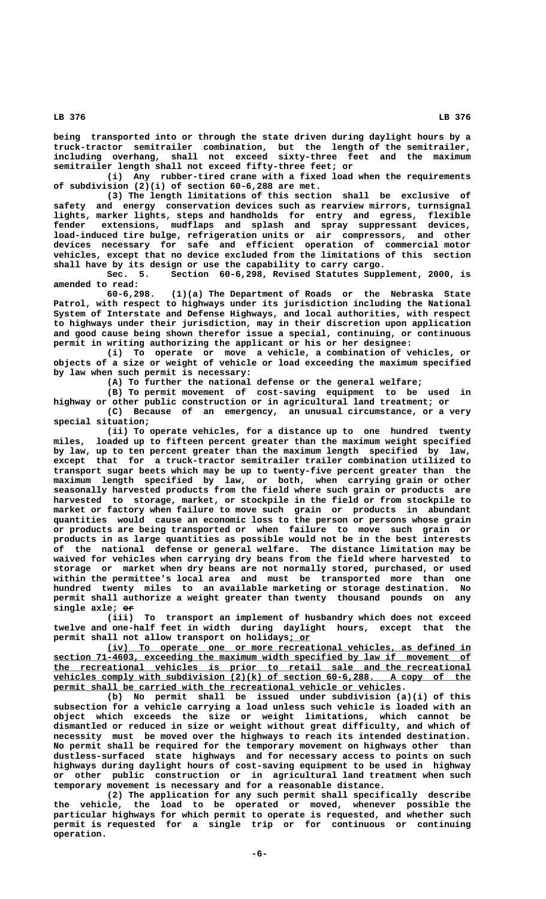**being transported into or through the state driven during daylight hours by a truck-tractor semitrailer combination, but the length of the semitrailer, including overhang, shall not exceed sixty-three feet and the maximum semitrailer length shall not exceed fifty-three feet; or**

**(i) Any rubber-tired crane with a fixed load when the requirements of subdivision (2)(i) of section 60-6,288 are met.**

**(3) The length limitations of this section shall be exclusive of safety and energy conservation devices such as rearview mirrors, turnsignal lights, marker lights, steps and handholds for entry and egress, flexible fender extensions, mudflaps and splash and spray suppressant devices, load-induced tire bulge, refrigeration units or air compressors, and other devices necessary for safe and efficient operation of commercial motor vehicles, except that no device excluded from the limitations of this section shall have by its design or use the capability to carry cargo.**

**Sec. 5. Section 60-6,298, Revised Statutes Supplement, 2000, is amended to read:**

**60-6,298. (1)(a) The Department of Roads or the Nebraska State Patrol, with respect to highways under its jurisdiction including the National System of Interstate and Defense Highways, and local authorities, with respect to highways under their jurisdiction, may in their discretion upon application and good cause being shown therefor issue a special, continuing, or continuous permit in writing authorizing the applicant or his or her designee:**

**(i) To operate or move a vehicle, a combination of vehicles, or objects of a size or weight of vehicle or load exceeding the maximum specified by law when such permit is necessary:**

**(A) To further the national defense or the general welfare;**

**(B) To permit movement of cost-saving equipment to be used in highway or other public construction or in agricultural land treatment; or**

**(C) Because of an emergency, an unusual circumstance, or a very special situation;**

**(ii) To operate vehicles, for a distance up to one hundred twenty miles, loaded up to fifteen percent greater than the maximum weight specified by law, up to ten percent greater than the maximum length specified by law, except that for a truck-tractor semitrailer trailer combination utilized to transport sugar beets which may be up to twenty-five percent greater than the maximum length specified by law, or both, when carrying grain or other seasonally harvested products from the field where such grain or products are harvested to storage, market, or stockpile in the field or from stockpile to market or factory when failure to move such grain or products in abundant quantities would cause an economic loss to the person or persons whose grain or products are being transported or when failure to move such grain or products in as large quantities as possible would not be in the best interests of the national defense or general welfare. The distance limitation may be waived for vehicles when carrying dry beans from the field where harvested to storage or market when dry beans are not normally stored, purchased, or used within the permittee's local area and must be transported more than one hundred twenty miles to an available marketing or storage destination. No permit shall authorize a weight greater than twenty thousand pounds on any —— single axle; or**

**(iii) To transport an implement of husbandry which does not exceed twelve and one-half feet in width during daylight hours, except that the \_\_\_\_ permit shall not allow transport on holidays; or**

 **\_\_\_\_\_\_\_\_\_\_\_\_\_\_\_\_\_\_\_\_\_\_\_\_\_\_\_\_\_\_\_\_\_\_\_\_\_\_\_\_\_\_\_\_\_\_\_\_\_\_\_\_\_\_\_\_\_\_\_\_\_\_\_\_\_\_\_\_ (iv) To operate one or more recreational vehicles, as defined in \_\_\_\_\_\_\_\_\_\_\_\_\_\_\_\_\_\_\_\_\_\_\_\_\_\_\_\_\_\_\_\_\_\_\_\_\_\_\_\_\_\_\_\_\_\_\_\_\_\_\_\_\_\_\_\_\_\_\_\_\_\_\_\_\_\_\_\_\_\_\_\_\_\_\_\_\_\_ section 71-4603, exceeding the maximum width specified by law if movement of \_\_\_\_\_\_\_\_\_\_\_\_\_\_\_\_\_\_\_\_\_\_\_\_\_\_\_\_\_\_\_\_\_\_\_\_\_\_\_\_\_\_\_\_\_\_\_\_\_\_\_\_\_\_\_\_\_\_\_\_\_\_\_\_\_\_\_\_\_\_\_\_\_\_\_\_\_\_ the recreational vehicles is prior to retail sale and the recreational** vehicles comply with subdivision (2)(k) of section 60-6,288. A copy of the permit shall be carried with the recreational vehicle or vehicles.

**(b) No permit shall be issued under subdivision (a)(i) of this subsection for a vehicle carrying a load unless such vehicle is loaded with an object which exceeds the size or weight limitations, which cannot be dismantled or reduced in size or weight without great difficulty, and which of necessity must be moved over the highways to reach its intended destination. No permit shall be required for the temporary movement on highways other than dustless-surfaced state highways and for necessary access to points on such highways during daylight hours of cost-saving equipment to be used in highway or other public construction or in agricultural land treatment when such temporary movement is necessary and for a reasonable distance.**

**(2) The application for any such permit shall specifically describe the vehicle, the load to be operated or moved, whenever possible the particular highways for which permit to operate is requested, and whether such permit is requested for a single trip or for continuous or continuing operation.**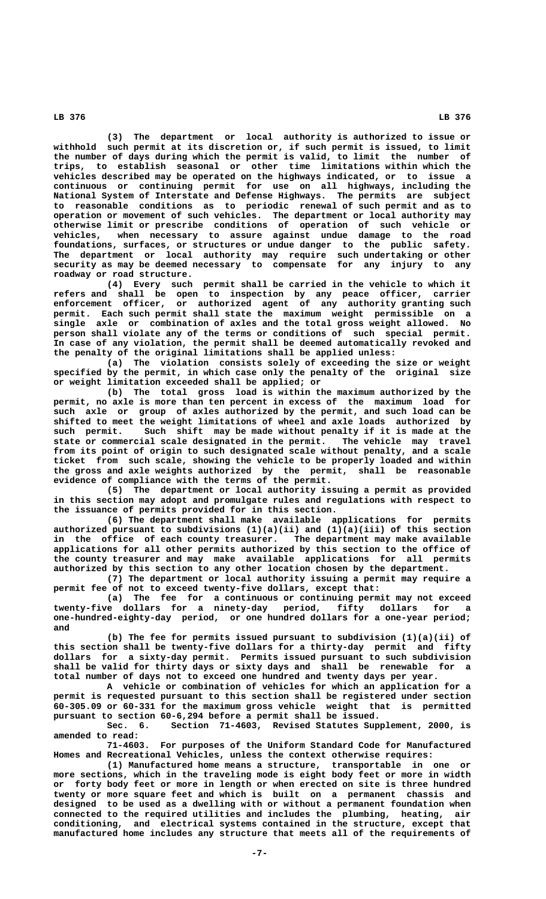**(3) The department or local authority is authorized to issue or withhold such permit at its discretion or, if such permit is issued, to limit the number of days during which the permit is valid, to limit the number of trips, to establish seasonal or other time limitations within which the vehicles described may be operated on the highways indicated, or to issue a continuous or continuing permit for use on all highways, including the National System of Interstate and Defense Highways. The permits are subject to reasonable conditions as to periodic renewal of such permit and as to operation or movement of such vehicles. The department or local authority may otherwise limit or prescribe conditions of operation of such vehicle or vehicles, when necessary to assure against undue damage to the road foundations, surfaces, or structures or undue danger to the public safety. The department or local authority may require such undertaking or other security as may be deemed necessary to compensate for any injury to any roadway or road structure.**

**(4) Every such permit shall be carried in the vehicle to which it refers and shall be open to inspection by any peace officer, carrier enforcement officer, or authorized agent of any authority granting such permit. Each such permit shall state the maximum weight permissible on a single axle or combination of axles and the total gross weight allowed. No person shall violate any of the terms or conditions of such special permit. In case of any violation, the permit shall be deemed automatically revoked and the penalty of the original limitations shall be applied unless:**

**(a) The violation consists solely of exceeding the size or weight specified by the permit, in which case only the penalty of the original size or weight limitation exceeded shall be applied; or**

**(b) The total gross load is within the maximum authorized by the permit, no axle is more than ten percent in excess of the maximum load for such axle or group of axles authorized by the permit, and such load can be shifted to meet the weight limitations of wheel and axle loads authorized by such permit. Such shift may be made without penalty if it is made at the state or commercial scale designated in the permit. The vehicle may travel from its point of origin to such designated scale without penalty, and a scale ticket from such scale, showing the vehicle to be properly loaded and within the gross and axle weights authorized by the permit, shall be reasonable evidence of compliance with the terms of the permit.**

**(5) The department or local authority issuing a permit as provided in this section may adopt and promulgate rules and regulations with respect to the issuance of permits provided for in this section.**

**(6) The department shall make available applications for permits authorized pursuant to subdivisions (1)(a)(ii) and (1)(a)(iii) of this section in the office of each county treasurer. The department may make available applications for all other permits authorized by this section to the office of the county treasurer and may make available applications for all permits authorized by this section to any other location chosen by the department.**

**(7) The department or local authority issuing a permit may require a permit fee of not to exceed twenty-five dollars, except that:**

**(a) The fee for a continuous or continuing permit may not exceed twenty-five dollars for a ninety-day period, fifty dollars for a one-hundred-eighty-day period, or one hundred dollars for a one-year period; and**

**(b) The fee for permits issued pursuant to subdivision (1)(a)(ii) of this section shall be twenty-five dollars for a thirty-day permit and fifty dollars for a sixty-day permit. Permits issued pursuant to such subdivision shall be valid for thirty days or sixty days and shall be renewable for a total number of days not to exceed one hundred and twenty days per year.**

**A vehicle or combination of vehicles for which an application for a permit is requested pursuant to this section shall be registered under section 60-305.09 or 60-331 for the maximum gross vehicle weight that is permitted pursuant to section 60-6,294 before a permit shall be issued.**

**Sec. 6. Section 71-4603, Revised Statutes Supplement, 2000, is amended to read:**

**71-4603. For purposes of the Uniform Standard Code for Manufactured Homes and Recreational Vehicles, unless the context otherwise requires:**

**(1) Manufactured home means a structure, transportable in one or more sections, which in the traveling mode is eight body feet or more in width or forty body feet or more in length or when erected on site is three hundred twenty or more square feet and which is built on a permanent chassis and designed to be used as a dwelling with or without a permanent foundation when connected to the required utilities and includes the plumbing, heating, air conditioning, and electrical systems contained in the structure, except that manufactured home includes any structure that meets all of the requirements of**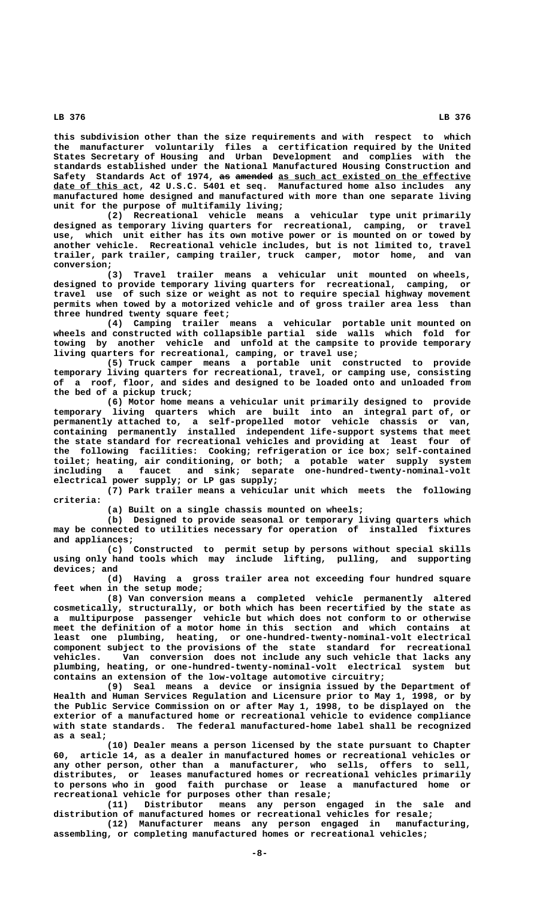**this subdivision other than the size requirements and with respect to which the manufacturer voluntarily files a certification required by the United States Secretary of Housing and Urban Development and complies with the standards established under the National Manufactured Housing Construction and** Safety Standards Act of 1974, as amended as such act existed on the effective date of this act, 42 U.S.C. 5401 et seq. Manufactured home also includes any **manufactured home designed and manufactured with more than one separate living unit for the purpose of multifamily living;**

**(2) Recreational vehicle means a vehicular type unit primarily designed as temporary living quarters for recreational, camping, or travel use, which unit either has its own motive power or is mounted on or towed by another vehicle. Recreational vehicle includes, but is not limited to, travel trailer, park trailer, camping trailer, truck camper, motor home, and van**

 **conversion; (3) Travel trailer means a vehicular unit mounted on wheels, designed to provide temporary living quarters for recreational, camping, or travel use of such size or weight as not to require special highway movement permits when towed by a motorized vehicle and of gross trailer area less than three hundred twenty square feet;**

**(4) Camping trailer means a vehicular portable unit mounted on wheels and constructed with collapsible partial side walls which fold for towing by another vehicle and unfold at the campsite to provide temporary living quarters for recreational, camping, or travel use;**

**(5) Truck camper means a portable unit constructed to provide temporary living quarters for recreational, travel, or camping use, consisting of a roof, floor, and sides and designed to be loaded onto and unloaded from the bed of a pickup truck;**

**(6) Motor home means a vehicular unit primarily designed to provide temporary living quarters which are built into an integral part of, or permanently attached to, a self-propelled motor vehicle chassis or van, containing permanently installed independent life-support systems that meet the state standard for recreational vehicles and providing at least four of the following facilities: Cooking; refrigeration or ice box; self-contained toilet; heating, air conditioning, or both; a potable water supply system including a faucet and sink; separate one-hundred-twenty-nominal-volt electrical power supply; or LP gas supply;**

**(7) Park trailer means a vehicular unit which meets the following criteria:**

**(a) Built on a single chassis mounted on wheels;**

**(b) Designed to provide seasonal or temporary living quarters which may be connected to utilities necessary for operation of installed fixtures and appliances;**

**(c) Constructed to permit setup by persons without special skills using only hand tools which may include lifting, pulling, and supporting devices; and**

**(d) Having a gross trailer area not exceeding four hundred square feet when in the setup mode;**

**(8) Van conversion means a completed vehicle permanently altered cosmetically, structurally, or both which has been recertified by the state as a multipurpose passenger vehicle but which does not conform to or otherwise meet the definition of a motor home in this section and which contains at least one plumbing, heating, or one-hundred-twenty-nominal-volt electrical component subject to the provisions of the state standard for recreational vehicles. Van conversion does not include any such vehicle that lacks any plumbing, heating, or one-hundred-twenty-nominal-volt electrical system but contains an extension of the low-voltage automotive circuitry;**

**(9) Seal means a device or insignia issued by the Department of Health and Human Services Regulation and Licensure prior to May 1, 1998, or by the Public Service Commission on or after May 1, 1998, to be displayed on the exterior of a manufactured home or recreational vehicle to evidence compliance with state standards. The federal manufactured-home label shall be recognized as a seal;**

**(10) Dealer means a person licensed by the state pursuant to Chapter 60, article 14, as a dealer in manufactured homes or recreational vehicles or any other person, other than a manufacturer, who sells, offers to sell, distributes, or leases manufactured homes or recreational vehicles primarily to persons who in good faith purchase or lease a manufactured home or recreational vehicle for purposes other than resale;**

**(11) Distributor means any person engaged in the sale and distribution of manufactured homes or recreational vehicles for resale;**

**(12) Manufacturer means any person engaged in manufacturing, assembling, or completing manufactured homes or recreational vehicles;**